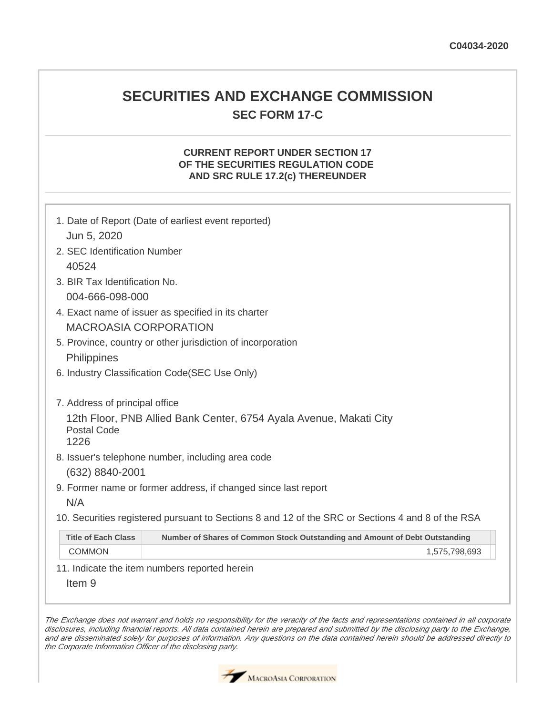# **SECURITIES AND EXCHANGE COMMISSION SEC FORM 17-C**

### **CURRENT REPORT UNDER SECTION 17 OF THE SECURITIES REGULATION CODE AND SRC RULE 17.2(c) THEREUNDER**

| 1. Date of Report (Date of earliest event reported)<br>Jun 5, 2020 |                                                                                                           |  |  |  |
|--------------------------------------------------------------------|-----------------------------------------------------------------------------------------------------------|--|--|--|
|                                                                    | 2. SEC Identification Number                                                                              |  |  |  |
| 40524                                                              |                                                                                                           |  |  |  |
|                                                                    | 3. BIR Tax Identification No.                                                                             |  |  |  |
|                                                                    | 004-666-098-000                                                                                           |  |  |  |
|                                                                    | 4. Exact name of issuer as specified in its charter                                                       |  |  |  |
| <b>MACROASIA CORPORATION</b>                                       |                                                                                                           |  |  |  |
| 5. Province, country or other jurisdiction of incorporation        |                                                                                                           |  |  |  |
|                                                                    | Philippines                                                                                               |  |  |  |
| 6. Industry Classification Code (SEC Use Only)                     |                                                                                                           |  |  |  |
|                                                                    |                                                                                                           |  |  |  |
| 7. Address of principal office                                     |                                                                                                           |  |  |  |
| 12th Floor, PNB Allied Bank Center, 6754 Ayala Avenue, Makati City |                                                                                                           |  |  |  |
| <b>Postal Code</b>                                                 |                                                                                                           |  |  |  |
|                                                                    | 1226                                                                                                      |  |  |  |
|                                                                    | 8. Issuer's telephone number, including area code                                                         |  |  |  |
|                                                                    | (632) 8840-2001                                                                                           |  |  |  |
| 9. Former name or former address, if changed since last report     |                                                                                                           |  |  |  |
|                                                                    | N/A                                                                                                       |  |  |  |
|                                                                    | 10. Securities registered pursuant to Sections 8 and 12 of the SRC or Sections 4 and 8 of the RSA         |  |  |  |
|                                                                    | Number of Shares of Common Stock Outstanding and Amount of Debt Outstanding<br><b>Title of Each Class</b> |  |  |  |
|                                                                    | <b>COMMON</b><br>1,575,798,693                                                                            |  |  |  |
|                                                                    |                                                                                                           |  |  |  |

11. Indicate the item numbers reported herein

Item 9

The Exchange does not warrant and holds no responsibility for the veracity of the facts and representations contained in all corporate disclosures, including financial reports. All data contained herein are prepared and submitted by the disclosing party to the Exchange, and are disseminated solely for purposes of information. Any questions on the data contained herein should be addressed directly to the Corporate Information Officer of the disclosing party.

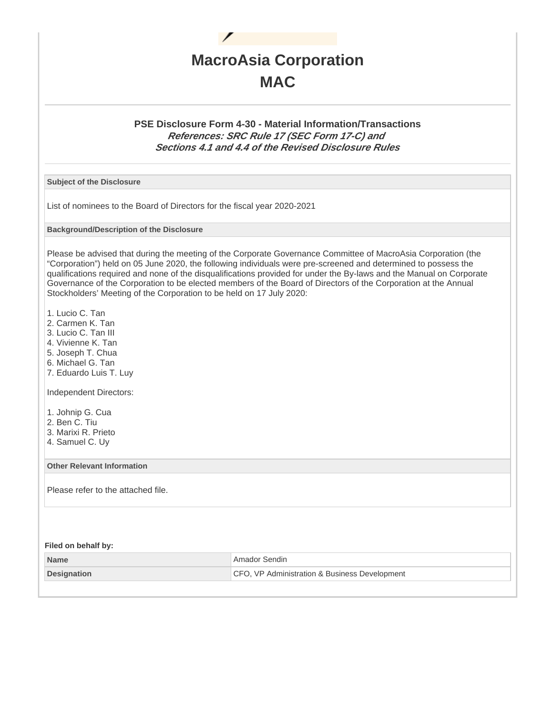

### **PSE Disclosure Form 4-30 - Material Information/Transactions References: SRC Rule 17 (SEC Form 17-C) and Sections 4.1 and 4.4 of the Revised Disclosure Rules**

**Subject of the Disclosure**

List of nominees to the Board of Directors for the fiscal year 2020-2021

**Background/Description of the Disclosure**

Please be advised that during the meeting of the Corporate Governance Committee of MacroAsia Corporation (the "Corporation") held on 05 June 2020, the following individuals were pre-screened and determined to possess the qualifications required and none of the disqualifications provided for under the By-laws and the Manual on Corporate Governance of the Corporation to be elected members of the Board of Directors of the Corporation at the Annual Stockholders' Meeting of the Corporation to be held on 17 July 2020:

1. Lucio C. Tan

- 2. Carmen K. Tan
- 3. Lucio C. Tan III
- 4. Vivienne K. Tan
- 5. Joseph T. Chua
- 6. Michael G. Tan
- 7. Eduardo Luis T. Luy

Independent Directors:

- 1. Johnip G. Cua
- 2. Ben C. Tiu
- 3. Marixi R. Prieto
- 4. Samuel C. Uy

**Other Relevant Information**

Please refer to the attached file.

**Filed on behalf by:**

| <b>Name</b>        | <sup>1</sup> Amador Sendin                    |
|--------------------|-----------------------------------------------|
| <b>Designation</b> | CFO, VP Administration & Business Development |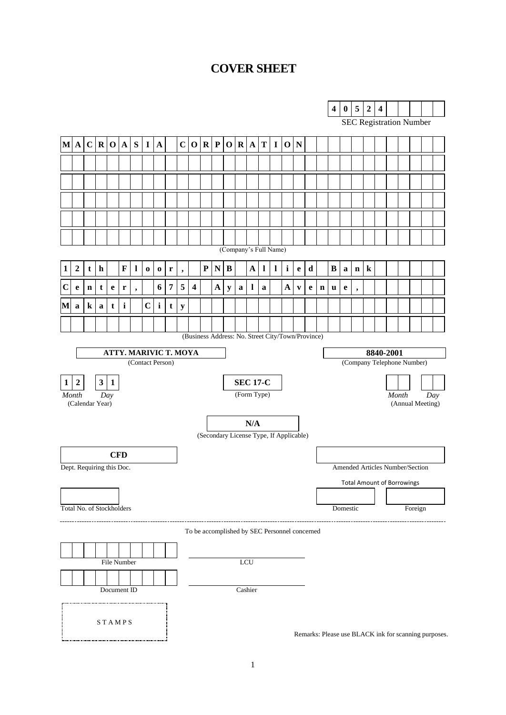# **COVER SHEET**

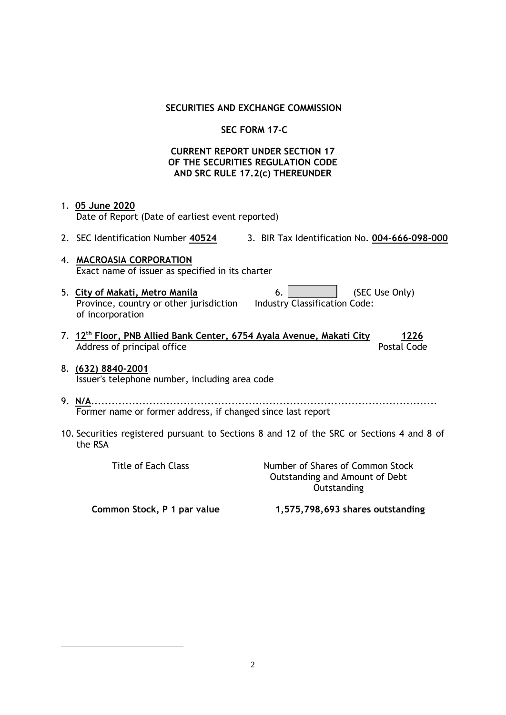#### **SECURITIES AND EXCHANGE COMMISSION**

# **SEC FORM 17-C**

#### **CURRENT REPORT UNDER SECTION 17 OF THE SECURITIES REGULATION CODE AND SRC RULE 17.2(c) THEREUNDER**

- 1. **05 June 2020** Date of Report (Date of earliest event reported)
- 2. SEC Identification Number **40524** 3. BIR Tax Identification No. **004-666-098-000**
- 4. **MACROASIA CORPORATION** Exact name of issuer as specified in its charter
- 5. City of Makati, Metro Manila **6.** (SEC Use Only) Province, country or other jurisdiction of incorporation

| 6. l |                               | (SEC Use |
|------|-------------------------------|----------|
|      | Industry Classification Code: |          |

- 7. **12th Floor, PNB Allied Bank Center, 6754 Ayala Avenue, Makati City 1226** Address of principal office Postal Code
- 8. **(632) 8840-2001** Issuer's telephone number, including area code
- 9. **N/A**..................................................................................................... Former name or former address, if changed since last report
- 10. Securities registered pursuant to Sections 8 and 12 of the SRC or Sections 4 and 8 of the RSA

Title of Each Class Number of Shares of Common Stock Outstanding and Amount of Debt **Outstanding** 

**Common Stock, P 1 par value 1,575,798,693 shares outstanding**